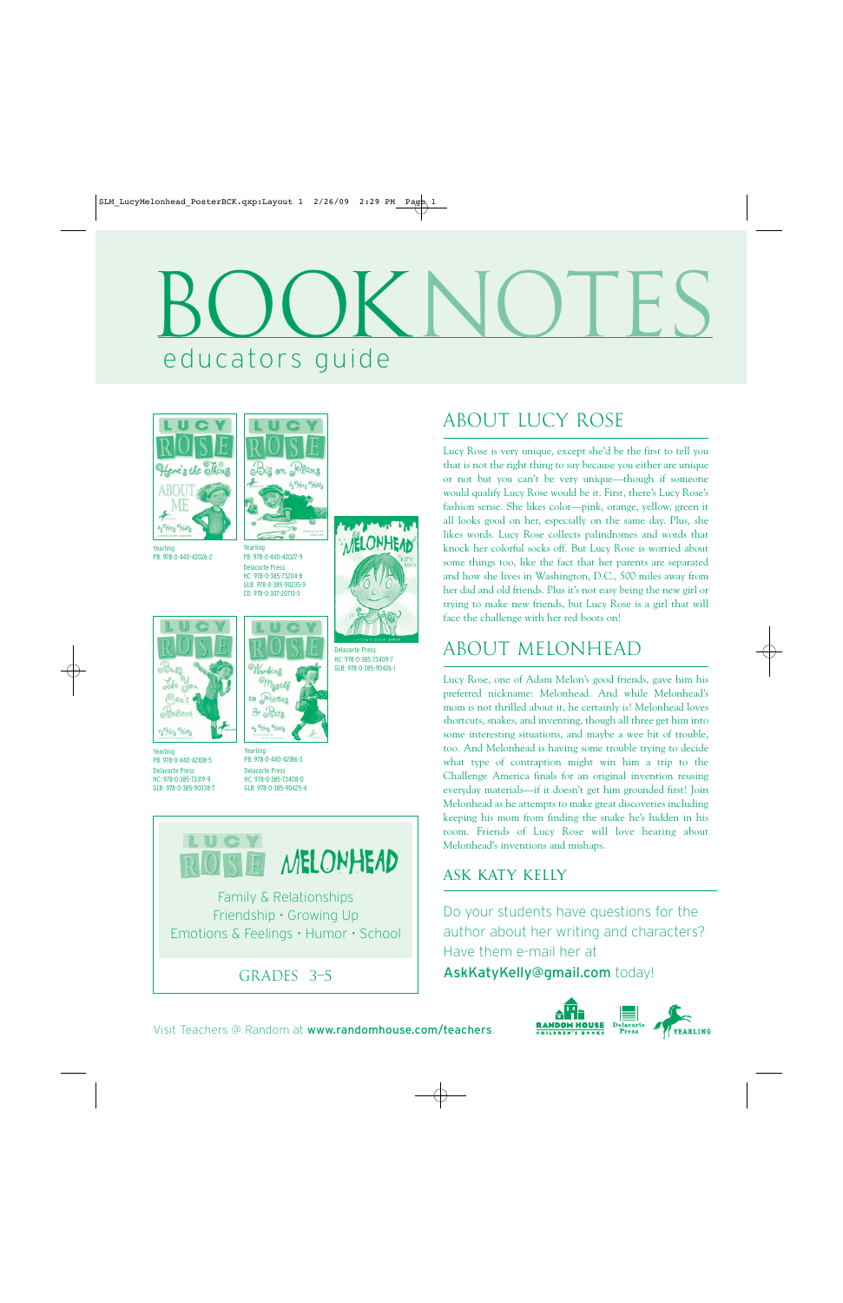# educators guide BOOKNOTES





Yearling PB: 978-0-440-42026-2

Yearling PB: 978-0-440-42027-9 Delacorte Press HC: 978-0-385-73204-8 GLB: 978-0-385-90235-9



Delacorte Press HC: 978-0-385-73409-7 GLB: 978-0-385-90426-1

Yearling PB: 978-0-440-42108-5 Delacorte Press HC: 978-0-385-73319-9 GLB: 978-0-385-90338-7

by Hety Helly



PB: 978-0-440-42186-3 Delacorte Press HC: 978-0-385-73408-0 GLB: 978-0-385-90425-4



### ABOUT lucy rose

Lucy Rose is very unique, except she'd be the first to tell you that is not the right thing to say because you either are unique or not but you can't be very unique—though if someone would qualify Lucy Rose would be it. First, there's Lucy Rose's fashion sense. She likes color—pink, orange, yellow, green it all looks good on her, especially on the same day. Plus, she likes words. Lucy Rose collects palindromes and words that knock her colorful socks off. But Lucy Rose is worried about some things too, like the fact that her parents are separated and how she lives in Washington, D.C., 500 miles away from her dad and old friends. Plus it's not easy being the new girl or trying to make new friends, but Lucy Rose is a girl that will face the challenge with her red boots on!

### ABOUT melonhead

Lucy Rose, one of Adam Melon's good friends, gave him his preferred nickname: Melonhead. And while Melonhead's mom is not thrilled about it, he certainly is! Melonhead loves shortcuts, snakes, and inventing, though all three get him into some interesting situations, and maybe a wee bit of trouble, too. And Melonhead is having some trouble trying to decide what type of contraption might win him a trip to the Challenge America finals for an original invention reusing everyday materials—if it doesn't get him grounded first! Join Melonhead as he attempts to make great discoveries including keeping his mom from finding the snake he's hidden in his room. Friends of Lucy Rose will love hearing about Melonhead's inventions and mishaps.

#### ASK KATY KELLY

Do your students have questions for the author about her writing and characters? Have them e-mail her at AskKatyKelly@gmail.com today!

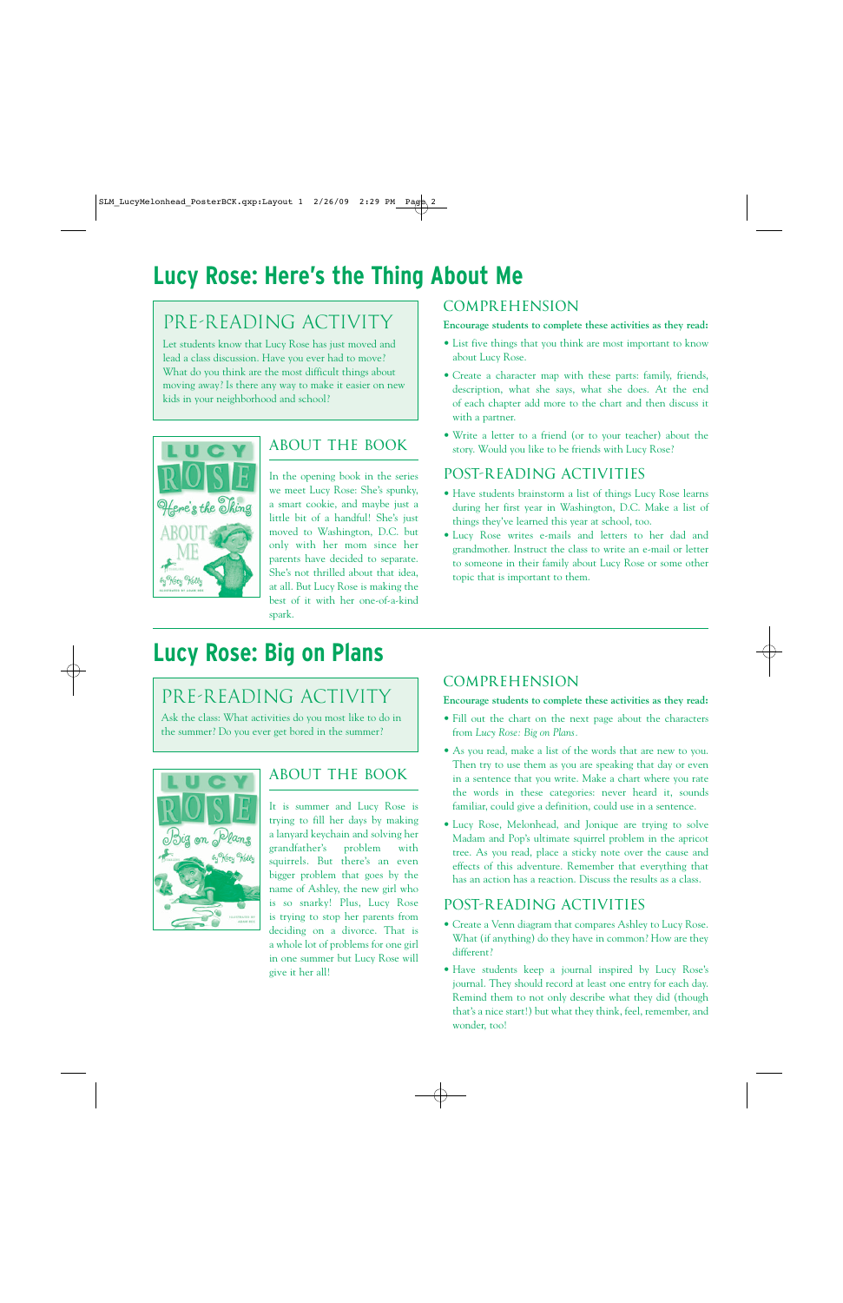# **Lucy Rose: Here's the Thing About Me**

### PRE-READING ACTIVITY

Let students know that Lucy Rose has just moved and lead a class discussion. Have you ever had to move? What do you think are the most difficult things about moving away? Is there any way to make it easier on new kids in your neighborhood and school?



#### ABOUT THE BOOK

In the opening book in the series we meet Lucy Rose: She's spunky, a smart cookie, and maybe just a little bit of a handful! She's just moved to Washington, D.C. but only with her mom since her parents have decided to separate. She's not thrilled about that idea, at all. But Lucy Rose is making the best of it with her one-of-a-kind spark.

#### COMPREHENSION

#### **Encourage students to complete these activities as they read:**

- List five things that you think are most important to know about Lucy Rose.
- Create a character map with these parts: family, friends, description, what she says, what she does. At the end of each chapter add more to the chart and then discuss it with a partner.
- Write a letter to a friend (or to your teacher) about the story. Would you like to be friends with Lucy Rose?

#### POST-READING ACTIVITIES

- Have students brainstorm a list of things Lucy Rose learns during her first year in Washington, D.C. Make a list of things they've learned this year at school, too.
- Lucy Rose writes e-mails and letters to her dad and grandmother. Instruct the class to write an e-mail or letter to someone in their family about Lucy Rose or some other topic that is important to them.

## **Lucy Rose: Big on Plans**

### PRE-READING ACTIVITY

Ask the class: What activities do you most like to do in the summer? Do you ever get bored in the summer?



#### ABOUT THE BOOK

It is summer and Lucy Rose is trying to fill her days by making a lanyard keychain and solving her grandfather's problem with squirrels. But there's an even bigger problem that goes by the name of Ashley, the new girl who is so snarky! Plus, Lucy Rose is trying to stop her parents from deciding on a divorce. That is a whole lot of problems for one girl in one summer but Lucy Rose will give it her all!

#### COMPREHENSION

**Encourage students to complete these activities as they read:**

- Fill out the chart on the next page about the characters from *Lucy Rose: Big on Plans.*
- As you read, make a list of the words that are new to you. Then try to use them as you are speaking that day or even in a sentence that you write. Make a chart where you rate the words in these categories: never heard it, sounds familiar, could give a definition, could use in a sentence.
- Lucy Rose, Melonhead, and Jonique are trying to solve Madam and Pop's ultimate squirrel problem in the apricot tree. As you read, place a sticky note over the cause and effects of this adventure. Remember that everything that has an action has a reaction. Discuss the results as a class.

#### POST-READING ACTIVITIES

- Create a Venn diagram that compares Ashley to Lucy Rose. What (if anything) do they have in common? How are they different?
- Have students keep a journal inspired by Lucy Rose's journal. They should record at least one entry for each day. Remind them to not only describe what they did (though that's a nice start!) but what they think, feel, remember, and wonder, too!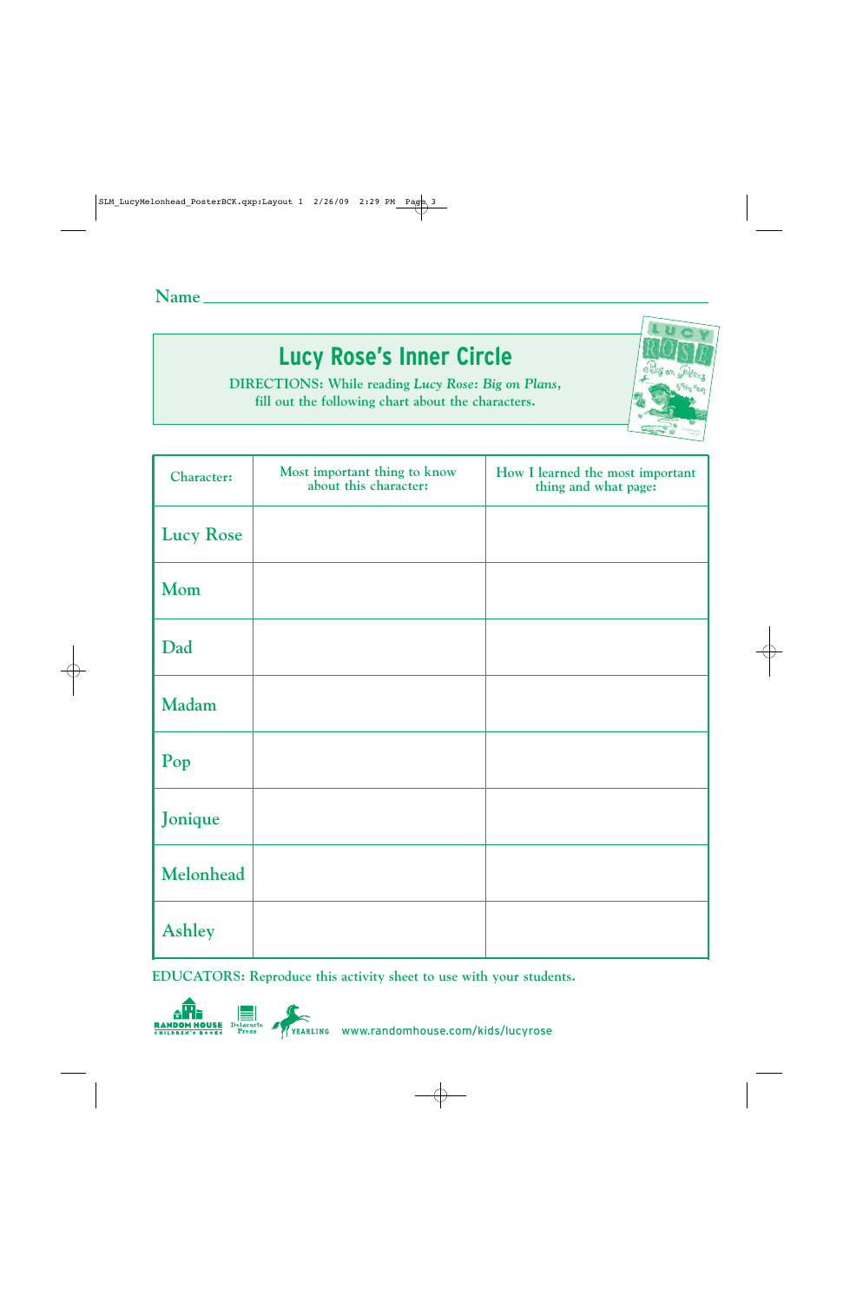# **Lucy Rose's Inner Circle**

**DIRECTIONS: While reading** *Lucy Rose: Big on Plans***, fill out the following chart about the characters.**

| <b>Character:</b> | Most important thing to know<br>about this character: | How I learned the most important<br>thing and what page: |
|-------------------|-------------------------------------------------------|----------------------------------------------------------|
| <b>Lucy Rose</b>  |                                                       |                                                          |
| Mom               |                                                       |                                                          |
| Dad               |                                                       |                                                          |
| Madam             |                                                       |                                                          |
| Pop               |                                                       |                                                          |
| Jonique           |                                                       |                                                          |
| Melonhead         |                                                       |                                                          |
| <b>Ashley</b>     |                                                       |                                                          |

**EDUCATORS: Reproduce this activity sheet to use with your students.**



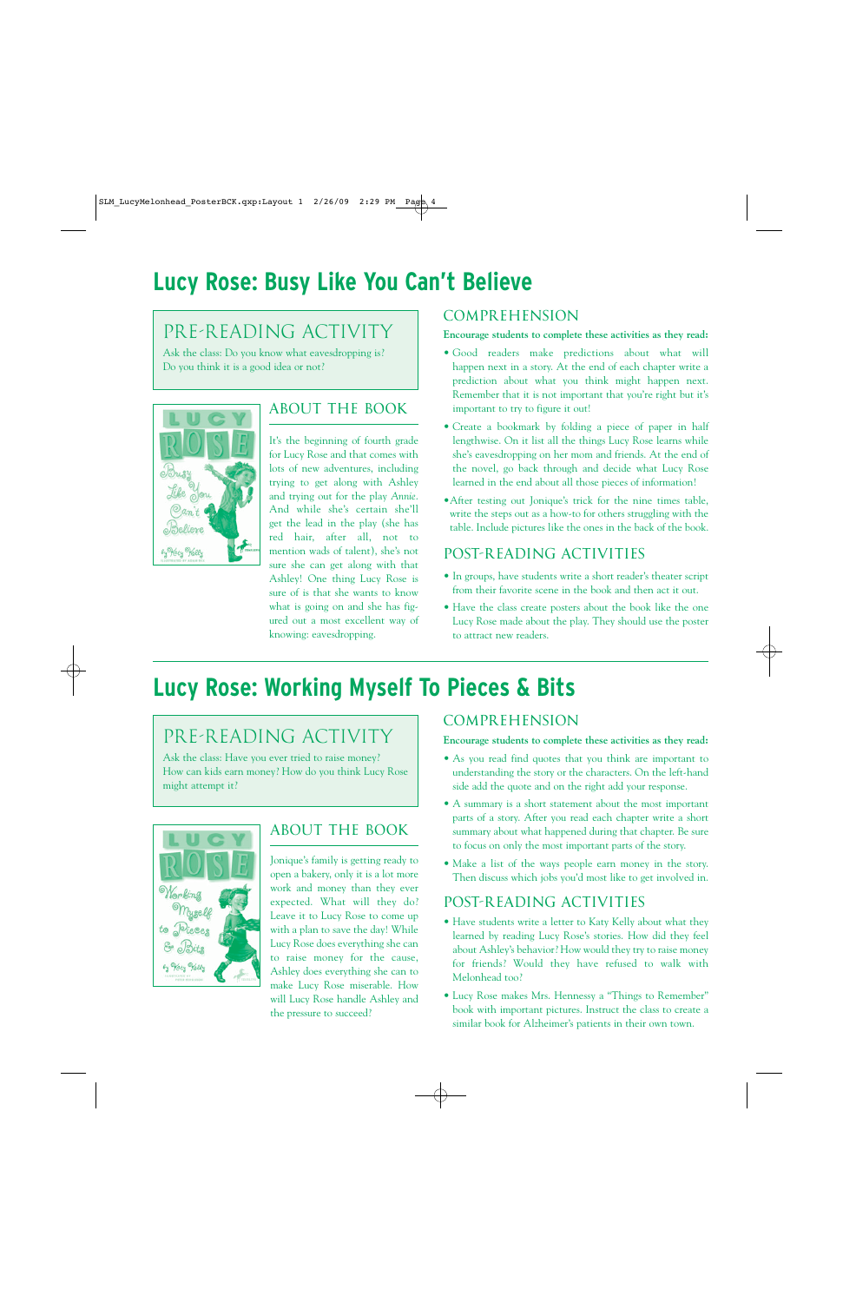# **Lucy Rose: Busy Like You Can't Believe**

### PRE-READING ACTIVITY

Ask the class: Do you know what eavesdropping is? Do you think it is a good idea or not?



#### ABOUT THE BOOK

It's the beginning of fourth grade for Lucy Rose and that comes with lots of new adventures, including trying to get along with Ashley and trying out for the play *Annie*. And while she's certain she'll get the lead in the play (she has red hair, after all, not to mention wads of talent), she's not sure she can get along with that Ashley! One thing Lucy Rose is sure of is that she wants to know what is going on and she has figured out a most excellent way of knowing: eavesdropping.

#### COMPREHENSION

#### **Encourage students to complete these activities as they read:**

- Good readers make predictions about what will happen next in a story. At the end of each chapter write a prediction about what you think might happen next. Remember that it is not important that you're right but it's important to try to figure it out!
- Create a bookmark by folding a piece of paper in half lengthwise. On it list all the things Lucy Rose learns while she's eavesdropping on her mom and friends. At the end of the novel, go back through and decide what Lucy Rose learned in the end about all those pieces of information!
- •After testing out Jonique's trick for the nine times table, write the steps out as a how-to for others struggling with the table. Include pictures like the ones in the back of the book.

#### POST-READING ACTIVITIES

- In groups, have students write a short reader's theater script from their favorite scene in the book and then act it out.
- Have the class create posters about the book like the one Lucy Rose made about the play. They should use the poster to attract new readers.

# **Lucy Rose: Working Myself To Pieces & Bits**

### PRE-READING ACTIVITY

Ask the class: Have you ever tried to raise money? How can kids earn money? How do you think Lucy Rose might attempt it?



#### ABOUT THE BOOK

Jonique's family is getting ready to open a bakery, only it is a lot more work and money than they ever expected. What will they do? Leave it to Lucy Rose to come up with a plan to save the day! While Lucy Rose does everything she can to raise money for the cause, Ashley does everything she can to make Lucy Rose miserable. How will Lucy Rose handle Ashley and the pressure to succeed?

#### **COMPREHENSION**

#### **Encourage students to complete these activities as they read:**

- As you read find quotes that you think are important to understanding the story or the characters. On the left-hand side add the quote and on the right add your response.
- A summary is a short statement about the most important parts of a story. After you read each chapter write a short summary about what happened during that chapter. Be sure to focus on only the most important parts of the story.
- Make a list of the ways people earn money in the story. Then discuss which jobs you'd most like to get involved in.

#### POST-READING ACTIVITIES

- Have students write a letter to Katy Kelly about what they learned by reading Lucy Rose's stories. How did they feel about Ashley's behavior? How would they try to raise money for friends? Would they have refused to walk with Melonhead too?
- Lucy Rose makes Mrs. Hennessy a "Things to Remember" book with important pictures. Instruct the class to create a similar book for Alzheimer's patients in their own town.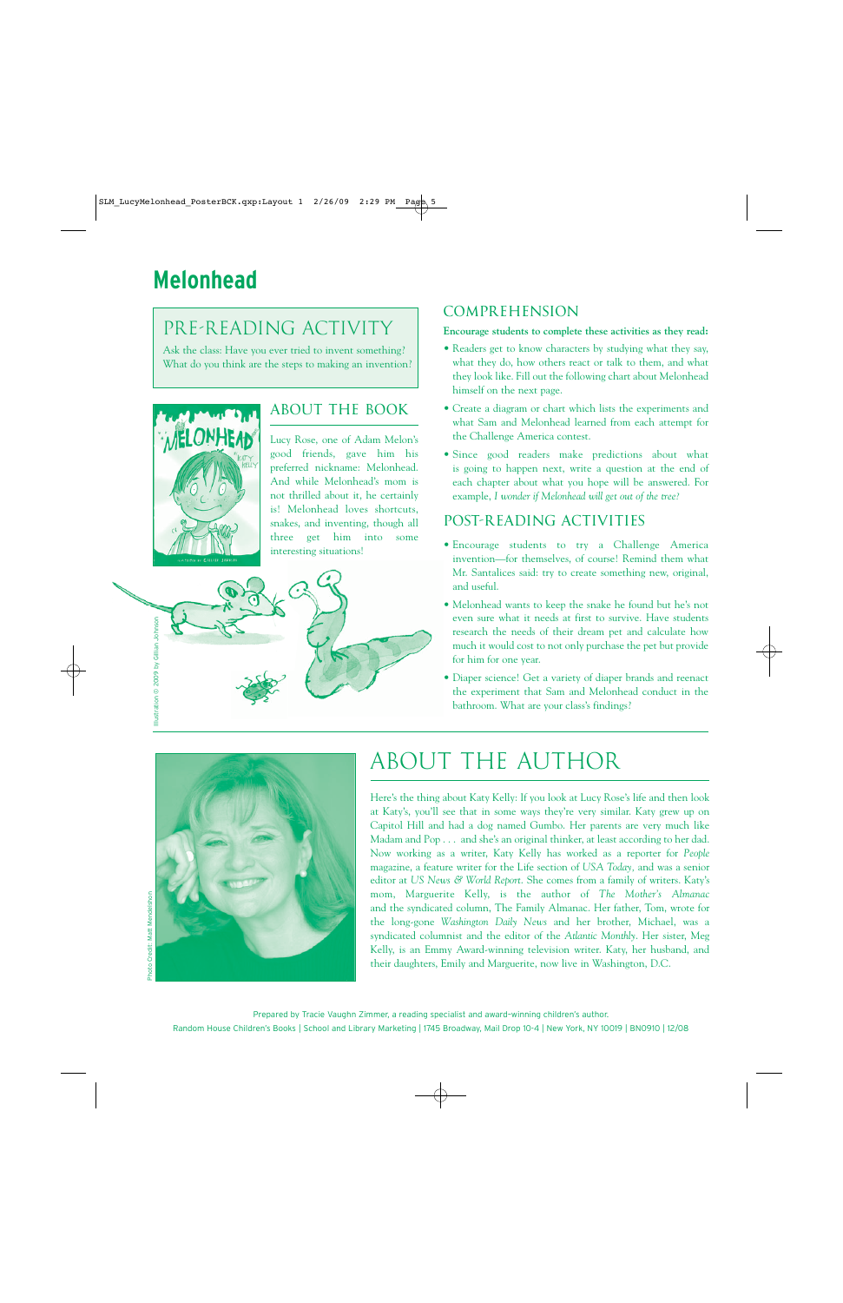### PRE-READING ACTIVITY

Ask the class: Have you ever tried to invent something? What do you think are the steps to making an invention?



#### ABOUT THE BOOK

Lucy Rose, one of Adam Melon's good friends, gave him his preferred nickname: Melonhead. And while Melonhead's mom is not thrilled about it, he certainly is! Melonhead loves shortcuts, snakes, and inventing, though all three get him into some interesting situations!



#### **COMPREHENSION**

#### **Encourage students to complete these activities as they read:**

- Readers get to know characters by studying what they say, what they do, how others react or talk to them, and what they look like. Fill out the following chart about Melonhead himself on the next page.
- Create a diagram or chart which lists the experiments and what Sam and Melonhead learned from each attempt for the Challenge America contest.
- Since good readers make predictions about what is going to happen next, write a question at the end of each chapter about what you hope will be answered. For example, *I wonder if Melonhead will get out of the tree?*

#### POST-READING ACTIVITIES

- Encourage students to try a Challenge America invention—for themselves, of course! Remind them what Mr. Santalices said: try to create something new, original, and useful.
- Melonhead wants to keep the snake he found but he's not even sure what it needs at first to survive. Have students research the needs of their dream pet and calculate how much it would cost to not only purchase the pet but provide for him for one year.
- Diaper science! Get a variety of diaper brands and reenact the experiment that Sam and Melonhead conduct in the bathroom. What are your class's findings?



# ABOUT THE AUTHOR

Here's the thing about Katy Kelly: If you look at Lucy Rose's life and then look at Katy's, you'll see that in some ways they're very similar. Katy grew up on Capitol Hill and had a dog named Gumbo. Her parents are very much like Madam and Pop . . . and she's an original thinker, at least according to her dad. Now working as a writer, Katy Kelly has worked as a reporter for *People* magazine, a feature writer for the Life section of *USA Today,* and was a senior editor at *US News & World Report*. She comes from a family of writers. Katy's mom, Marguerite Kelly, is the author of *The Mother's Almanac* and the syndicated column, The Family Almanac. Her father, Tom, wrote for the long-gone *Washington Daily News* and her brother, Michael, was a syndicated columnist and the editor of the *Atlantic Monthly*. Her sister, Meg Kelly, is an Emmy Award-winning television writer. Katy, her husband, and their daughters, Emily and Marguerite, now live in Washington, D.C.